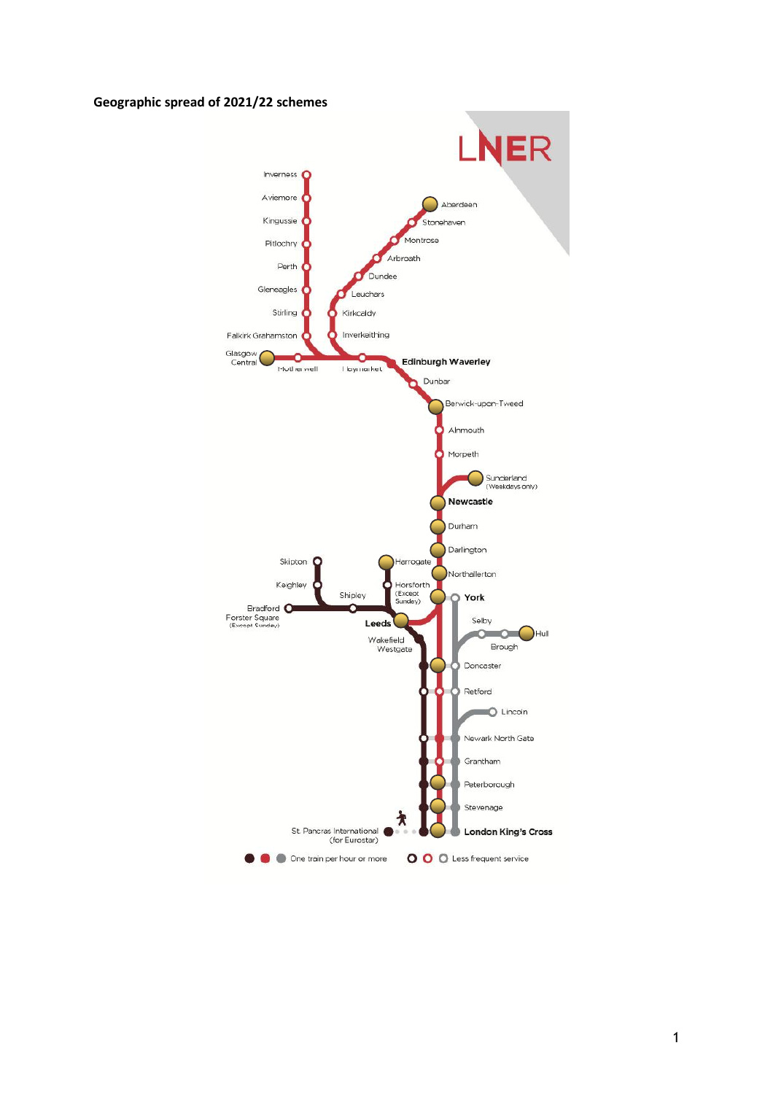#### Geographic spread of 2021/22 schemes

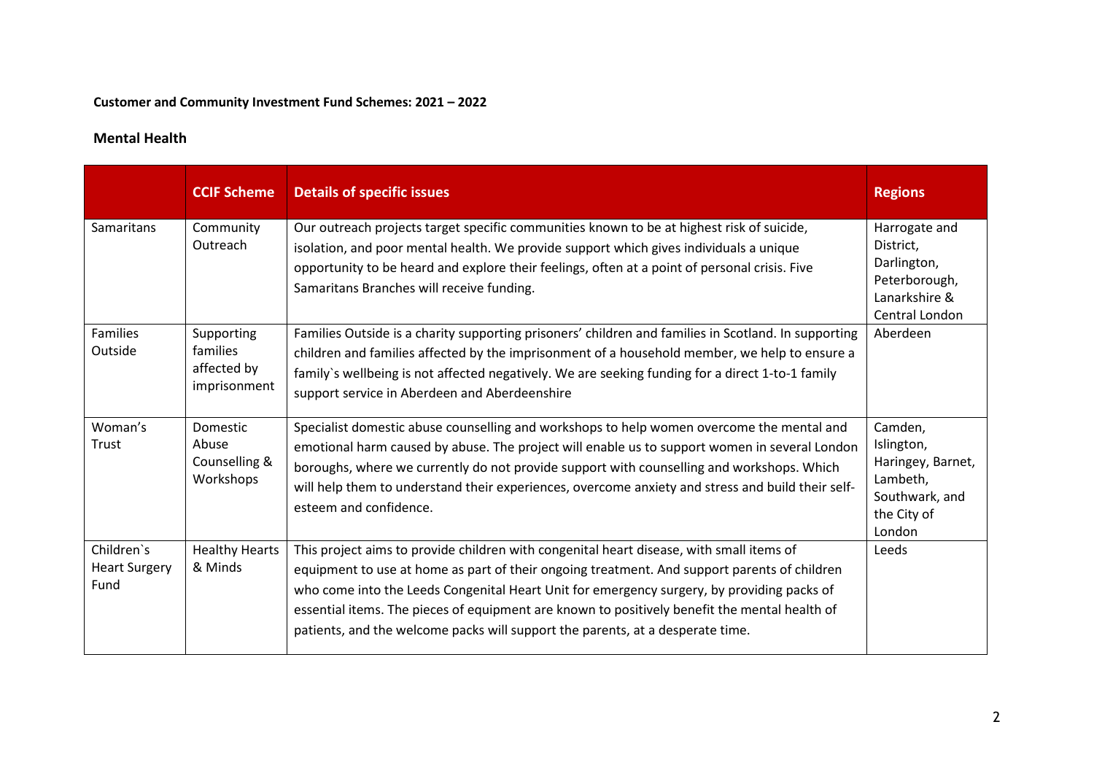### Customer and Community Investment Fund Schemes: 2021 – 2022

### Mental Health

|                                            | <b>CCIF Scheme</b>                                     | <b>Details of specific issues</b>                                                                                                                                                                                                                                                                                                                                                                                                                                         | <b>Regions</b>                                                                                    |
|--------------------------------------------|--------------------------------------------------------|---------------------------------------------------------------------------------------------------------------------------------------------------------------------------------------------------------------------------------------------------------------------------------------------------------------------------------------------------------------------------------------------------------------------------------------------------------------------------|---------------------------------------------------------------------------------------------------|
| Samaritans                                 | Community<br>Outreach                                  | Our outreach projects target specific communities known to be at highest risk of suicide,<br>isolation, and poor mental health. We provide support which gives individuals a unique<br>opportunity to be heard and explore their feelings, often at a point of personal crisis. Five<br>Samaritans Branches will receive funding.                                                                                                                                         | Harrogate and<br>District,<br>Darlington,<br>Peterborough,<br>Lanarkshire &<br>Central London     |
| Families<br>Outside                        | Supporting<br>families<br>affected by<br>imprisonment  | Families Outside is a charity supporting prisoners' children and families in Scotland. In supporting<br>children and families affected by the imprisonment of a household member, we help to ensure a<br>family's wellbeing is not affected negatively. We are seeking funding for a direct 1-to-1 family<br>support service in Aberdeen and Aberdeenshire                                                                                                                | Aberdeen                                                                                          |
| Woman's<br>Trust                           | <b>Domestic</b><br>Abuse<br>Counselling &<br>Workshops | Specialist domestic abuse counselling and workshops to help women overcome the mental and<br>emotional harm caused by abuse. The project will enable us to support women in several London<br>boroughs, where we currently do not provide support with counselling and workshops. Which<br>will help them to understand their experiences, overcome anxiety and stress and build their self-<br>esteem and confidence.                                                    | Camden,<br>Islington,<br>Haringey, Barnet,<br>Lambeth,<br>Southwark, and<br>the City of<br>London |
| Children's<br><b>Heart Surgery</b><br>Fund | <b>Healthy Hearts</b><br>& Minds                       | This project aims to provide children with congenital heart disease, with small items of<br>equipment to use at home as part of their ongoing treatment. And support parents of children<br>who come into the Leeds Congenital Heart Unit for emergency surgery, by providing packs of<br>essential items. The pieces of equipment are known to positively benefit the mental health of<br>patients, and the welcome packs will support the parents, at a desperate time. | Leeds                                                                                             |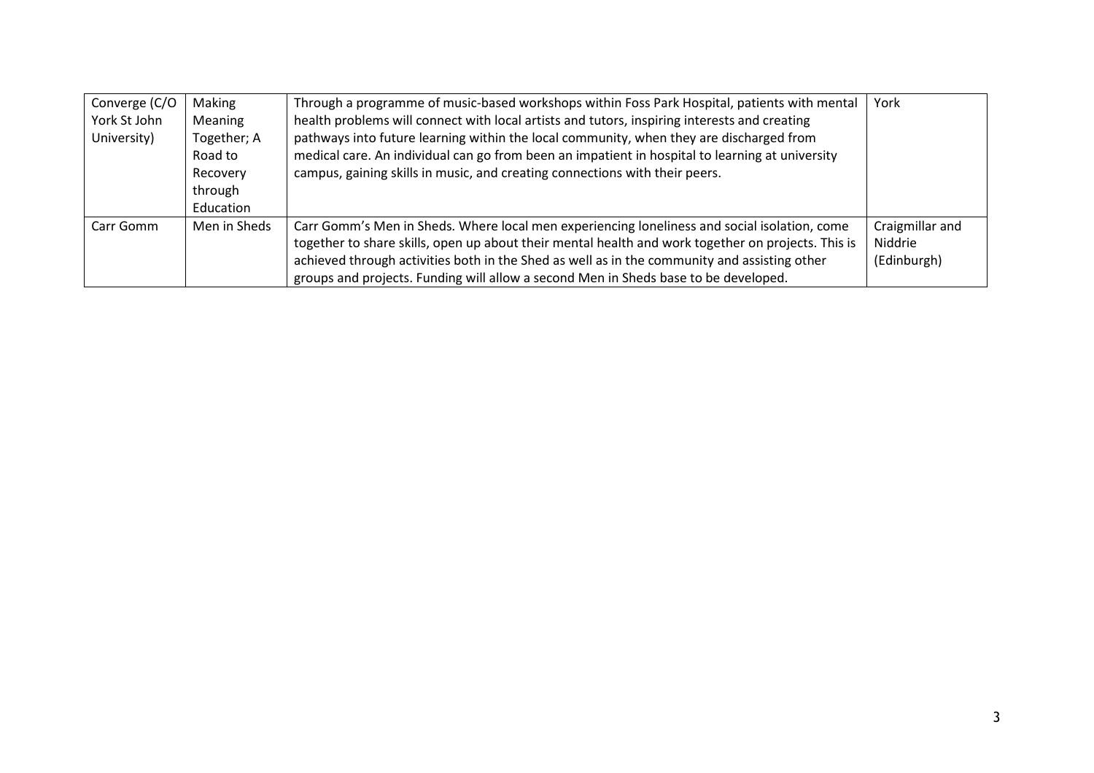| Converge (C/O<br>York St John<br>University) | Making<br>Meaning<br>Together; A<br>Road to<br>Recovery<br>through<br>Education | Through a programme of music-based workshops within Foss Park Hospital, patients with mental<br>health problems will connect with local artists and tutors, inspiring interests and creating<br>pathways into future learning within the local community, when they are discharged from<br>medical care. An individual can go from been an impatient in hospital to learning at university<br>campus, gaining skills in music, and creating connections with their peers. | York                                      |
|----------------------------------------------|---------------------------------------------------------------------------------|---------------------------------------------------------------------------------------------------------------------------------------------------------------------------------------------------------------------------------------------------------------------------------------------------------------------------------------------------------------------------------------------------------------------------------------------------------------------------|-------------------------------------------|
| Carr Gomm                                    | Men in Sheds                                                                    | Carr Gomm's Men in Sheds. Where local men experiencing loneliness and social isolation, come<br>together to share skills, open up about their mental health and work together on projects. This is<br>achieved through activities both in the Shed as well as in the community and assisting other<br>groups and projects. Funding will allow a second Men in Sheds base to be developed.                                                                                 | Craigmillar and<br>Niddrie<br>(Edinburgh) |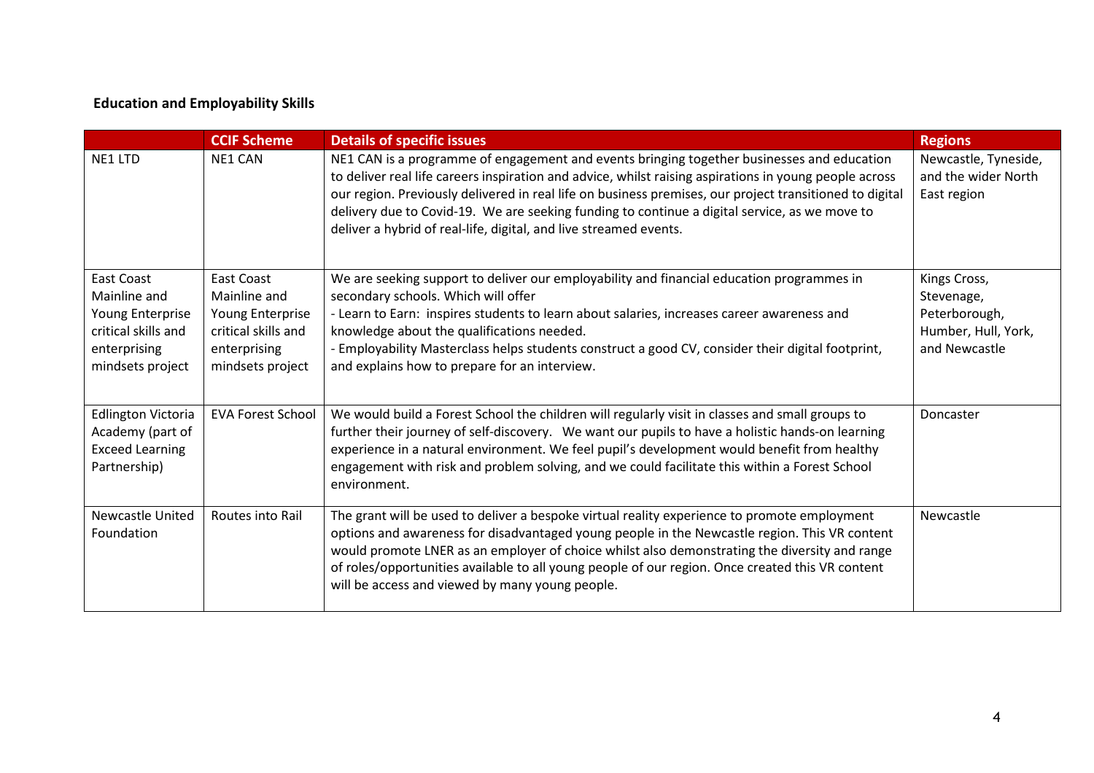# Education and Employability Skills

|                                                                                                                  | <b>CCIF Scheme</b>                                                                                                      | <b>Details of specific issues</b>                                                                                                                                                                                                                                                                                                                                                                                                                                                     | <b>Regions</b>                                                                      |
|------------------------------------------------------------------------------------------------------------------|-------------------------------------------------------------------------------------------------------------------------|---------------------------------------------------------------------------------------------------------------------------------------------------------------------------------------------------------------------------------------------------------------------------------------------------------------------------------------------------------------------------------------------------------------------------------------------------------------------------------------|-------------------------------------------------------------------------------------|
| NE1 LTD                                                                                                          | NE1 CAN                                                                                                                 | NE1 CAN is a programme of engagement and events bringing together businesses and education<br>to deliver real life careers inspiration and advice, whilst raising aspirations in young people across<br>our region. Previously delivered in real life on business premises, our project transitioned to digital<br>delivery due to Covid-19. We are seeking funding to continue a digital service, as we move to<br>deliver a hybrid of real-life, digital, and live streamed events. | Newcastle, Tyneside,<br>and the wider North<br>East region                          |
| <b>East Coast</b><br>Mainline and<br>Young Enterprise<br>critical skills and<br>enterprising<br>mindsets project | <b>East Coast</b><br>Mainline and<br><b>Young Enterprise</b><br>critical skills and<br>enterprising<br>mindsets project | We are seeking support to deliver our employability and financial education programmes in<br>secondary schools. Which will offer<br>- Learn to Earn: inspires students to learn about salaries, increases career awareness and<br>knowledge about the qualifications needed.<br>- Employability Masterclass helps students construct a good CV, consider their digital footprint,<br>and explains how to prepare for an interview.                                                    | Kings Cross,<br>Stevenage,<br>Peterborough,<br>Humber, Hull, York,<br>and Newcastle |
| <b>Edlington Victoria</b><br>Academy (part of<br><b>Exceed Learning</b><br>Partnership)                          | <b>EVA Forest School</b>                                                                                                | We would build a Forest School the children will regularly visit in classes and small groups to<br>further their journey of self-discovery. We want our pupils to have a holistic hands-on learning<br>experience in a natural environment. We feel pupil's development would benefit from healthy<br>engagement with risk and problem solving, and we could facilitate this within a Forest School<br>environment.                                                                   | Doncaster                                                                           |
| <b>Newcastle United</b><br>Foundation                                                                            | Routes into Rail                                                                                                        | The grant will be used to deliver a bespoke virtual reality experience to promote employment<br>options and awareness for disadvantaged young people in the Newcastle region. This VR content<br>would promote LNER as an employer of choice whilst also demonstrating the diversity and range<br>of roles/opportunities available to all young people of our region. Once created this VR content<br>will be access and viewed by many young people.                                 | Newcastle                                                                           |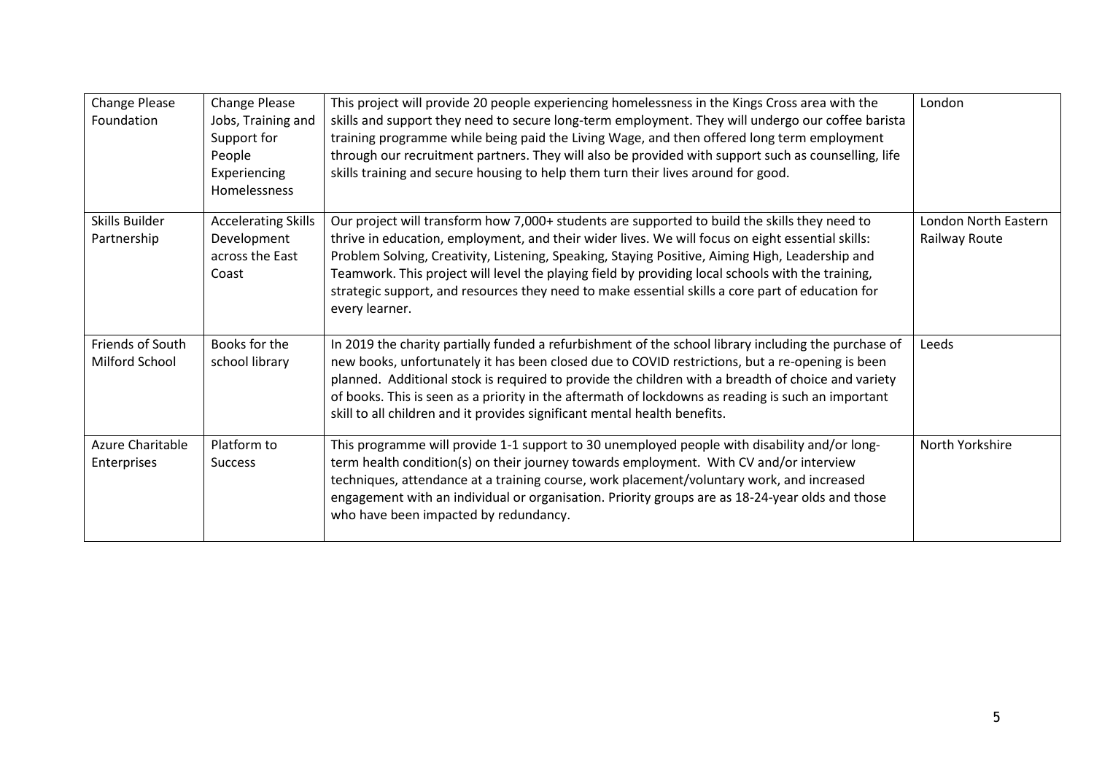| <b>Change Please</b><br>Foundation | Change Please<br>Jobs, Training and<br>Support for<br>People<br>Experiencing<br>Homelessness | This project will provide 20 people experiencing homelessness in the Kings Cross area with the<br>skills and support they need to secure long-term employment. They will undergo our coffee barista<br>training programme while being paid the Living Wage, and then offered long term employment<br>through our recruitment partners. They will also be provided with support such as counselling, life<br>skills training and secure housing to help them turn their lives around for good.                                   | London                                |
|------------------------------------|----------------------------------------------------------------------------------------------|---------------------------------------------------------------------------------------------------------------------------------------------------------------------------------------------------------------------------------------------------------------------------------------------------------------------------------------------------------------------------------------------------------------------------------------------------------------------------------------------------------------------------------|---------------------------------------|
| Skills Builder<br>Partnership      | <b>Accelerating Skills</b><br>Development<br>across the East<br>Coast                        | Our project will transform how 7,000+ students are supported to build the skills they need to<br>thrive in education, employment, and their wider lives. We will focus on eight essential skills:<br>Problem Solving, Creativity, Listening, Speaking, Staying Positive, Aiming High, Leadership and<br>Teamwork. This project will level the playing field by providing local schools with the training,<br>strategic support, and resources they need to make essential skills a core part of education for<br>every learner. | London North Eastern<br>Railway Route |
| Friends of South<br>Milford School | Books for the<br>school library                                                              | In 2019 the charity partially funded a refurbishment of the school library including the purchase of<br>new books, unfortunately it has been closed due to COVID restrictions, but a re-opening is been<br>planned. Additional stock is required to provide the children with a breadth of choice and variety<br>of books. This is seen as a priority in the aftermath of lockdowns as reading is such an important<br>skill to all children and it provides significant mental health benefits.                                | Leeds                                 |
| Azure Charitable<br>Enterprises    | Platform to<br><b>Success</b>                                                                | This programme will provide 1-1 support to 30 unemployed people with disability and/or long-<br>term health condition(s) on their journey towards employment. With CV and/or interview<br>techniques, attendance at a training course, work placement/voluntary work, and increased<br>engagement with an individual or organisation. Priority groups are as 18-24-year olds and those<br>who have been impacted by redundancy.                                                                                                 | North Yorkshire                       |